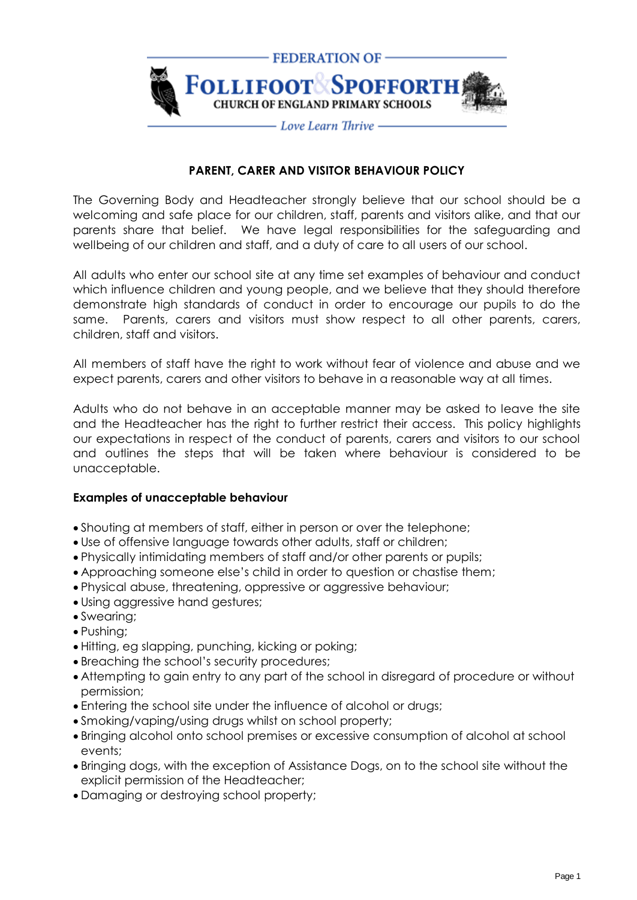

## **PARENT, CARER AND VISITOR BEHAVIOUR POLICY**

The Governing Body and Headteacher strongly believe that our school should be a welcoming and safe place for our children, staff, parents and visitors alike, and that our parents share that belief. We have legal responsibilities for the safeguarding and wellbeing of our children and staff, and a duty of care to all users of our school.

All adults who enter our school site at any time set examples of behaviour and conduct which influence children and young people, and we believe that they should therefore demonstrate high standards of conduct in order to encourage our pupils to do the same. Parents, carers and visitors must show respect to all other parents, carers, children, staff and visitors.

All members of staff have the right to work without fear of violence and abuse and we expect parents, carers and other visitors to behave in a reasonable way at all times.

Adults who do not behave in an acceptable manner may be asked to leave the site and the Headteacher has the right to further restrict their access. This policy highlights our expectations in respect of the conduct of parents, carers and visitors to our school and outlines the steps that will be taken where behaviour is considered to be unacceptable.

## **Examples of unacceptable behaviour**

- Shouting at members of staff, either in person or over the telephone;
- Use of offensive language towards other adults, staff or children;
- Physically intimidating members of staff and/or other parents or pupils;
- Approaching someone else's child in order to question or chastise them;
- Physical abuse, threatening, oppressive or aggressive behaviour;
- Using aggressive hand gestures;
- Swearing;
- Pushing;
- Hitting, eg slapping, punching, kicking or poking;
- Breaching the school's security procedures;
- Attempting to gain entry to any part of the school in disregard of procedure or without permission;
- Entering the school site under the influence of alcohol or drugs;
- Smoking/vaping/using drugs whilst on school property;
- Bringing alcohol onto school premises or excessive consumption of alcohol at school events;
- Bringing dogs, with the exception of Assistance Dogs, on to the school site without the explicit permission of the Headteacher;
- Damaging or destroying school property;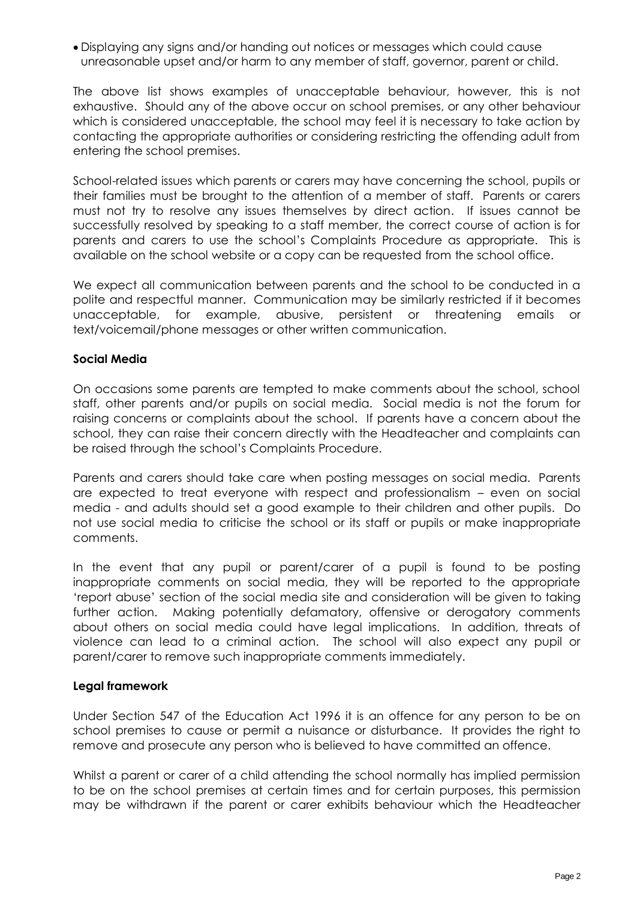• Displaying any signs and/or handing out notices or messages which could cause unreasonable upset and/or harm to any member of staff, governor, parent or child.

The above list shows examples of unacceptable behaviour, however, this is not exhaustive. Should any of the above occur on school premises, or any other behaviour which is considered unacceptable, the school may feel it is necessary to take action by contacting the appropriate authorities or considering restricting the offending adult from entering the school premises.

School-related issues which parents or carers may have concerning the school, pupils or their families must be brought to the attention of a member of staff. Parents or carers must not try to resolve any issues themselves by direct action. If issues cannot be successfully resolved by speaking to a staff member, the correct course of action is for parents and carers to use the school's Complaints Procedure as appropriate. This is available on the school website or a copy can be requested from the school office.

We expect all communication between parents and the school to be conducted in a polite and respectful manner. Communication may be similarly restricted if it becomes unacceptable, for example, abusive, persistent or threatening emails or text/voicemail/phone messages or other written communication.

## **Social Media**

On occasions some parents are tempted to make comments about the school, school staff, other parents and/or pupils on social media. Social media is not the forum for raising concerns or complaints about the school. If parents have a concern about the school, they can raise their concern directly with the Headteacher and complaints can be raised through the school's Complaints Procedure.

Parents and carers should take care when posting messages on social media. Parents are expected to treat everyone with respect and professionalism – even on social media - and adults should set a good example to their children and other pupils. Do not use social media to criticise the school or its staff or pupils or make inappropriate comments.

In the event that any pupil or parent/carer of a pupil is found to be posting inappropriate comments on social media, they will be reported to the appropriate 'report abuse' section of the social media site and consideration will be given to taking further action. Making potentially defamatory, offensive or derogatory comments about others on social media could have legal implications. In addition, threats of violence can lead to a criminal action. The school will also expect any pupil or parent/carer to remove such inappropriate comments immediately.

## **Legal framework**

Under Section 547 of the Education Act 1996 it is an offence for any person to be on school premises to cause or permit a nuisance or disturbance. It provides the right to remove and prosecute any person who is believed to have committed an offence.

Whilst a parent or carer of a child attending the school normally has implied permission to be on the school premises at certain times and for certain purposes, this permission may be withdrawn if the parent or carer exhibits behaviour which the Headteacher